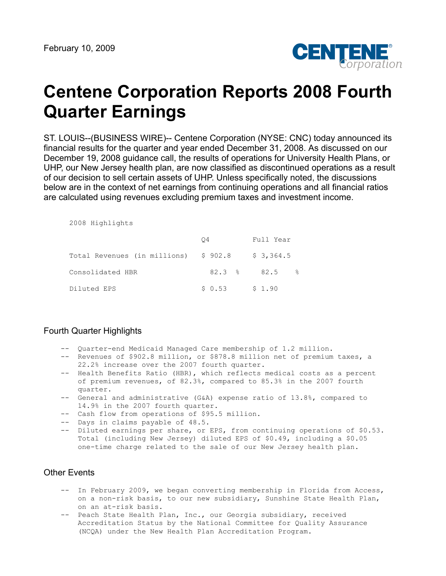

# **Centene Corporation Reports 2008 Fourth Quarter Earnings**

ST. LOUIS--(BUSINESS WIRE)-- Centene Corporation (NYSE: CNC) today announced its financial results for the quarter and year ended December 31, 2008. As discussed on our December 19, 2008 guidance call, the results of operations for University Health Plans, or UHP, our New Jersey health plan, are now classified as discontinued operations as a result of our decision to sell certain assets of UHP. Unless specifically noted, the discussions below are in the context of net earnings from continuing operations and all financial ratios are calculated using revenues excluding premium taxes and investment income.

| 2008 Highlights |
|-----------------|
|                 |

|                                      | Ο4     | Full Year                      |
|--------------------------------------|--------|--------------------------------|
| Total Revenues (in millions) \$902.8 |        | \$3,364.5                      |
| Consolidated HBR                     |        | $82.3$ $\approx$ $82.5$<br>- 2 |
| Diluted EPS                          | \$0.53 | \$1.90                         |

## Fourth Quarter Highlights

- -- Quarter-end Medicaid Managed Care membership of 1.2 million.
- -- Revenues of \$902.8 million, or \$878.8 million net of premium taxes, a 22.2% increase over the 2007 fourth quarter.
- -- Health Benefits Ratio (HBR), which reflects medical costs as a percent of premium revenues, of 82.3%, compared to 85.3% in the 2007 fourth quarter.
- -- General and administrative (G&A) expense ratio of 13.8%, compared to 14.9% in the 2007 fourth quarter.
- -- Cash flow from operations of \$95.5 million.
- -- Days in claims payable of 48.5.
- -- Diluted earnings per share, or EPS, from continuing operations of \$0.53. Total (including New Jersey) diluted EPS of \$0.49, including a \$0.05 one-time charge related to the sale of our New Jersey health plan.

## Other Events

- -- In February 2009, we began converting membership in Florida from Access, on a non-risk basis, to our new subsidiary, Sunshine State Health Plan, on an at-risk basis.
- -- Peach State Health Plan, Inc., our Georgia subsidiary, received Accreditation Status by the National Committee for Quality Assurance (NCQA) under the New Health Plan Accreditation Program.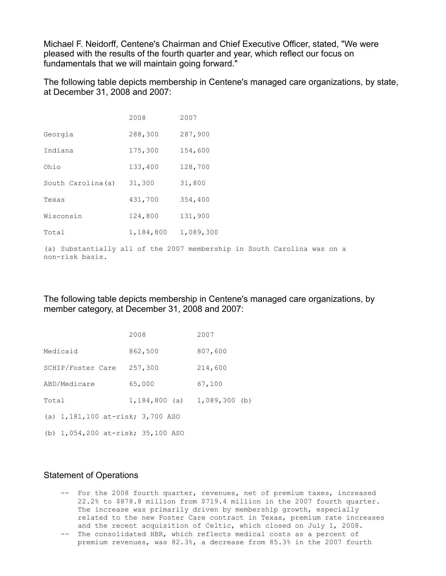Michael F. Neidorff, Centene's Chairman and Chief Executive Officer, stated, "We were pleased with the results of the fourth quarter and year, which reflect our focus on fundamentals that we will maintain going forward."

The following table depicts membership in Centene's managed care organizations, by state, at December 31, 2008 and 2007:

|                    | 2008      | 2007                                                                    |
|--------------------|-----------|-------------------------------------------------------------------------|
| Georgia            | 288,300   | 287,900                                                                 |
| Indiana            | 175,300   | 154,600                                                                 |
| Ohio               | 133,400   | 128,700                                                                 |
| South Carolina (a) | 31,300    | 31,800                                                                  |
| Texas              | 431,700   | 354,400                                                                 |
| Wisconsin          | 124,800   | 131,900                                                                 |
| Total              | 1,184,800 | 1,089,300                                                               |
|                    |           | (a) Substantially all of the 2007 membership in South Carolina was on a |

non-risk basis.

The following table depicts membership in Centene's managed care organizations, by member category, at December 31, 2008 and 2007:

|                                      | 2008                            | 2007    |
|--------------------------------------|---------------------------------|---------|
| Medicaid                             | 862,500                         | 807,600 |
| SCHIP/Foster Care                    | 257,300                         | 214,600 |
| ABD/Medicare                         | 65,000                          | 67,100  |
| Total                                | $1,184,800$ (a) $1,089,300$ (b) |         |
| (a) $1,181,100$ at-risk; $3,700$ ASO |                                 |         |
| (b) 1,054,200 at-risk; 35,100 ASO    |                                 |         |

## Statement of Operations

- -- For the 2008 fourth quarter, revenues, net of premium taxes, increased 22.2% to \$878.8 million from \$719.4 million in the 2007 fourth quarter. The increase was primarily driven by membership growth, especially related to the new Foster Care contract in Texas, premium rate increases and the recent acquisition of Celtic, which closed on July 1, 2008.
- -- The consolidated HBR, which reflects medical costs as a percent of premium revenues, was 82.3%, a decrease from 85.3% in the 2007 fourth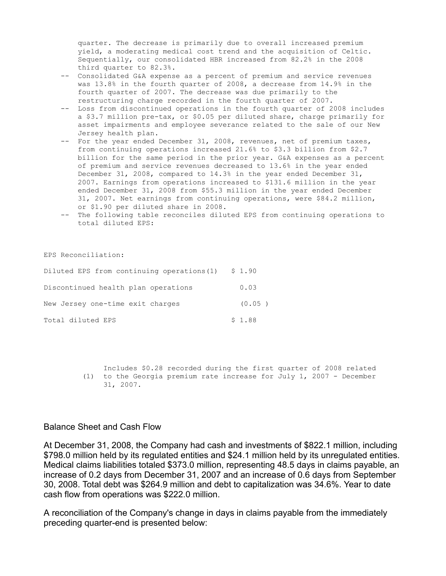quarter. The decrease is primarily due to overall increased premium yield, a moderating medical cost trend and the acquisition of Celtic. Sequentially, our consolidated HBR increased from 82.2% in the 2008 third quarter to 82.3%.

- -- Consolidated G&A expense as a percent of premium and service revenues was 13.8% in the fourth quarter of 2008, a decrease from 14.9% in the fourth quarter of 2007. The decrease was due primarily to the restructuring charge recorded in the fourth quarter of 2007.
- -- Loss from discontinued operations in the fourth quarter of 2008 includes a \$3.7 million pre-tax, or \$0.05 per diluted share, charge primarily for asset impairments and employee severance related to the sale of our New Jersey health plan.
- -- For the year ended December 31, 2008, revenues, net of premium taxes, from continuing operations increased 21.6% to \$3.3 billion from \$2.7 billion for the same period in the prior year. G&A expenses as a percent of premium and service revenues decreased to 13.6% in the year ended December 31, 2008, compared to 14.3% in the year ended December 31, 2007. Earnings from operations increased to \$131.6 million in the year ended December 31, 2008 from \$55.3 million in the year ended December 31, 2007. Net earnings from continuing operations, were \$84.2 million, or \$1.90 per diluted share in 2008.
- -- The following table reconciles diluted EPS from continuing operations to total diluted EPS:

EPS Reconciliation:

| Diluted EPS from continuing operations $(1)$ \$ 1.90 |        |
|------------------------------------------------------|--------|
| Discontinued health plan operations                  | 0.03   |
| New Jersey one-time exit charges                     | (0.05) |
| Total diluted EPS                                    | \$1.88 |

 Includes \$0.28 recorded during the first quarter of 2008 related (1) to the Georgia premium rate increase for July 1, 2007 - December 31, 2007.

#### Balance Sheet and Cash Flow

At December 31, 2008, the Company had cash and investments of \$822.1 million, including \$798.0 million held by its regulated entities and \$24.1 million held by its unregulated entities. Medical claims liabilities totaled \$373.0 million, representing 48.5 days in claims payable, an increase of 0.2 days from December 31, 2007 and an increase of 0.6 days from September 30, 2008. Total debt was \$264.9 million and debt to capitalization was 34.6%. Year to date cash flow from operations was \$222.0 million.

A reconciliation of the Company's change in days in claims payable from the immediately preceding quarter-end is presented below: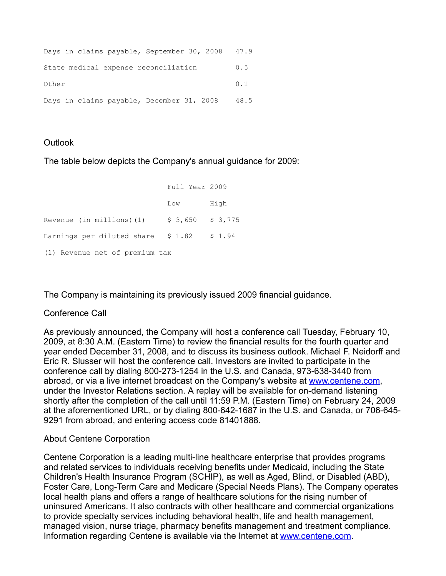| Days in claims payable, September 30, 2008 | 47.9 |
|--------------------------------------------|------|
| State medical expense reconciliation       | 0.5  |
| Other                                      | 0.1  |
| Days in claims payable, December 31, 2008  | 48.5 |

# **Outlook**

The table below depicts the Company's annual guidance for 2009:

|                                            | Full Year 2009    |      |
|--------------------------------------------|-------------------|------|
|                                            | Low               | High |
| Revenue (in millions)(1)                   | $$3,650$ $$3,775$ |      |
| Earnings per diluted share $$1.82$ $$1.94$ |                   |      |
| (1) Revenue net of premium tax             |                   |      |

The Company is maintaining its previously issued 2009 financial guidance.

# Conference Call

As previously announced, the Company will host a conference call Tuesday, February 10, 2009, at 8:30 A.M. (Eastern Time) to review the financial results for the fourth quarter and year ended December 31, 2008, and to discuss its business outlook. Michael F. Neidorff and Eric R. Slusser will host the conference call. Investors are invited to participate in the conference call by dialing 800-273-1254 in the U.S. and Canada, 973-638-3440 from abroad, or via a live internet broadcast on the Company's website at [www.centene.com,](http://www.centene.com/) under the Investor Relations section. A replay will be available for on-demand listening shortly after the completion of the call until 11:59 P.M. (Eastern Time) on February 24, 2009 at the aforementioned URL, or by dialing 800-642-1687 in the U.S. and Canada, or 706-645- 9291 from abroad, and entering access code 81401888.

# About Centene Corporation

Centene Corporation is a leading multi-line healthcare enterprise that provides programs and related services to individuals receiving benefits under Medicaid, including the State Children's Health Insurance Program (SCHIP), as well as Aged, Blind, or Disabled (ABD), Foster Care, Long-Term Care and Medicare (Special Needs Plans). The Company operates local health plans and offers a range of healthcare solutions for the rising number of uninsured Americans. It also contracts with other healthcare and commercial organizations to provide specialty services including behavioral health, life and health management, managed vision, nurse triage, pharmacy benefits management and treatment compliance. Information regarding Centene is available via the Internet at [www.centene.com](http://www.centene.com/).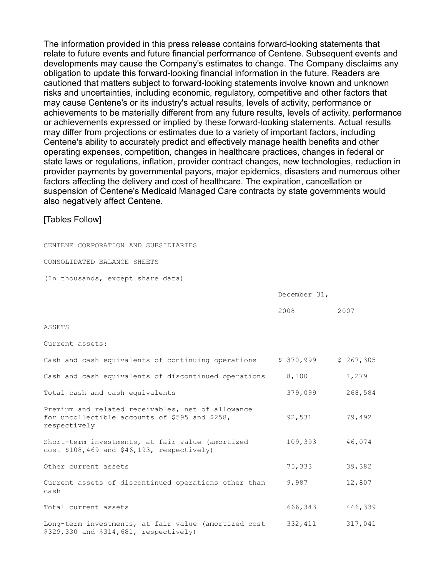The information provided in this press release contains forward-looking statements that relate to future events and future financial performance of Centene. Subsequent events and developments may cause the Company's estimates to change. The Company disclaims any obligation to update this forward-looking financial information in the future. Readers are cautioned that matters subject to forward-looking statements involve known and unknown risks and uncertainties, including economic, regulatory, competitive and other factors that may cause Centene's or its industry's actual results, levels of activity, performance or achievements to be materially different from any future results, levels of activity, performance or achievements expressed or implied by these forward-looking statements. Actual results may differ from projections or estimates due to a variety of important factors, including Centene's ability to accurately predict and effectively manage health benefits and other operating expenses, competition, changes in healthcare practices, changes in federal or state laws or regulations, inflation, provider contract changes, new technologies, reduction in provider payments by governmental payors, major epidemics, disasters and numerous other factors affecting the delivery and cost of healthcare. The expiration, cancellation or suspension of Centene's Medicaid Managed Care contracts by state governments would also negatively affect Centene.

### [Tables Follow]

CENTENE CORPORATION AND SUBSIDIARIES

CONSOLIDATED BALANCE SHEETS

(In thousands, except share data)

| December 31, |  |
|--------------|--|
|--------------|--|

|                                                                                                                     | 2008      | 2007      |
|---------------------------------------------------------------------------------------------------------------------|-----------|-----------|
| ASSETS                                                                                                              |           |           |
| Current assets:                                                                                                     |           |           |
| Cash and cash equivalents of continuing operations                                                                  | \$370,999 | \$267,305 |
| Cash and cash equivalents of discontinued operations                                                                | 8,100     | 1,279     |
| Total cash and cash equivalents                                                                                     | 379,099   | 268,584   |
| Premium and related receivables, net of allowance<br>for uncollectible accounts of \$595 and \$258,<br>respectively | 92,531    | 79,492    |
| Short-term investments, at fair value (amortized<br>cost \$108,469 and \$46,193, respectively)                      | 109,393   | 46,074    |
| Other current assets                                                                                                | 75,333    | 39,382    |
| Current assets of discontinued operations other than<br>cash                                                        | 9,987     | 12,807    |
| Total current assets                                                                                                | 666,343   | 446,339   |
| Long-term investments, at fair value (amortized cost                                                                | 332, 411  | 317,041   |

\$329,330 and \$314,681, respectively)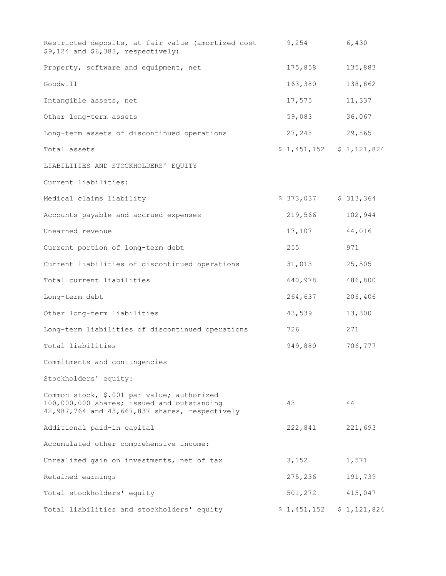| Restricted deposits, at fair value (amortized cost<br>$$9,124$ and $$6,383$ , respectively)                                                | 9,254                     | 6,430       |
|--------------------------------------------------------------------------------------------------------------------------------------------|---------------------------|-------------|
| Property, software and equipment, net                                                                                                      | 175,858                   | 135,883     |
| Goodwill                                                                                                                                   | 163,380                   | 138,862     |
| Intangible assets, net                                                                                                                     | 17,575                    | 11,337      |
| Other long-term assets                                                                                                                     | 59,083                    | 36,067      |
| Long-term assets of discontinued operations                                                                                                | 27,248                    | 29,865      |
| Total assets                                                                                                                               | $$1,451,152$ $$1,121,824$ |             |
| LIABILITIES AND STOCKHOLDERS' EQUITY                                                                                                       |                           |             |
| Current liabilities:                                                                                                                       |                           |             |
| Medical claims liability                                                                                                                   | \$373,037                 | \$313,364   |
| Accounts payable and accrued expenses                                                                                                      | 219,566                   | 102,944     |
| Unearned revenue                                                                                                                           | 17,107                    | 44,016      |
| Current portion of long-term debt                                                                                                          | 255                       | 971         |
| Current liabilities of discontinued operations                                                                                             | 31,013                    | 25,505      |
| Total current liabilities                                                                                                                  | 640,978                   | 486,800     |
| Long-term debt                                                                                                                             | 264,637                   | 206,406     |
| Other long-term liabilities                                                                                                                | 43,539                    | 13,300      |
| Long-term liabilities of discontinued operations                                                                                           | 726                       | 271         |
| Total liabilities                                                                                                                          | 949,880                   | 706,777     |
| Commitments and contingencies                                                                                                              |                           |             |
| Stockholders' equity:                                                                                                                      |                           |             |
| Common stock, \$.001 par value; authorized<br>100,000,000 shares; issued and outstanding<br>42,987,764 and 43,667,837 shares, respectively | 43                        | 44          |
| Additional paid-in capital                                                                                                                 | 222,841                   | 221,693     |
| Accumulated other comprehensive income:                                                                                                    |                           |             |
| Unrealized gain on investments, net of tax                                                                                                 | 3,152                     | 1,571       |
| Retained earnings                                                                                                                          | 275,236                   | 191,739     |
| Total stockholders' equity                                                                                                                 | 501,272                   | 415,047     |
| Total liabilities and stockholders' equity                                                                                                 | \$1,451,152               | \$1,121,824 |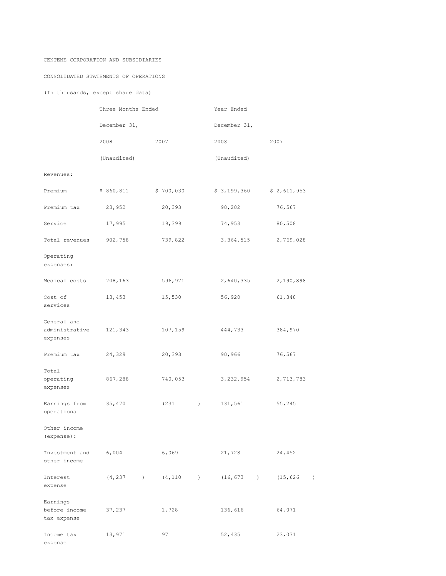#### CENTENE CORPORATION AND SUBSIDIARIES

#### CONSOLIDATED STATEMENTS OF OPERATIONS

(In thousands, except share data)

|                                           | Three Months Ended |                                      | Year Ended                  |                               |  |  |
|-------------------------------------------|--------------------|--------------------------------------|-----------------------------|-------------------------------|--|--|
|                                           | December 31,       |                                      | December 31,                |                               |  |  |
|                                           | 2008               | 2007                                 | 2008                        | 2007                          |  |  |
|                                           | (Unaudited)        |                                      | (Unaudited)                 |                               |  |  |
| Revenues:                                 |                    |                                      |                             |                               |  |  |
| Premium                                   | \$860,811          | \$700,030                            | \$3,199,360                 | \$2,611,953                   |  |  |
| Premium tax                               | 23,952             | 20,393                               | 90,202                      | 76,567                        |  |  |
| Service                                   | 17,995             | 19,399                               | 74,953                      | 80,508                        |  |  |
| Total revenues                            | 902,758            | 739,822                              | 3, 364, 515                 | 2,769,028                     |  |  |
| Operating<br>expenses:                    |                    |                                      |                             |                               |  |  |
| Medical costs                             | 708,163            | 596,971                              | 2,640,335                   | 2,190,898                     |  |  |
| Cost of<br>services                       | 13,453             | 15,530                               | 56,920                      | 61,348                        |  |  |
| General and<br>administrative<br>expenses | 121,343            | 107,159                              | 444,733                     | 384,970                       |  |  |
| Premium tax                               | 24,329             | 20,393                               | 90,966                      | 76,567                        |  |  |
| Total<br>operating<br>expenses            | 867,288            | 740,053                              | 3, 232, 954                 | 2,713,783                     |  |  |
| Earnings from<br>operations               | 35,470             | (231<br>$\left( \frac{1}{2} \right)$ | 131,561                     | 55,245                        |  |  |
| Other income<br>(expense) :               |                    |                                      |                             |                               |  |  |
| Investment and 6,004<br>other income      |                    | 6,069                                | 21,728                      | 24,452                        |  |  |
| Interest<br>expense                       | (4, 237)           | (4, 110)                             | (16, 673)<br>$\overline{)}$ | (15, 626)<br>$\left( \right)$ |  |  |
| Earnings<br>before income<br>tax expense  | 37,237             | 1,728                                | 136,616                     | 64,071                        |  |  |
| Income tax<br>expense                     | 13,971             | 97                                   | 52,435                      | 23,031                        |  |  |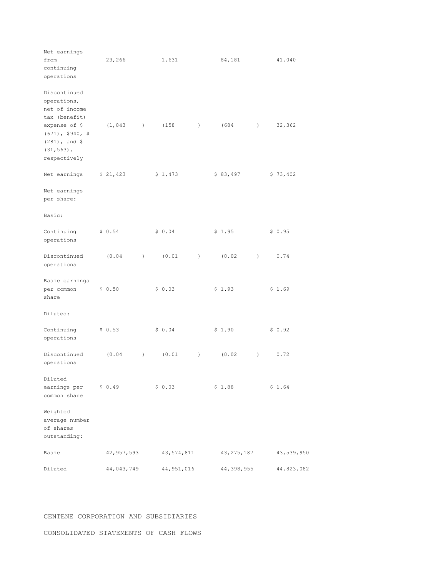| Net earnings<br>from<br>continuing<br>operations                                          | 23,266     |                  | 1,631      |                  | 84,181       |                  | 41,040     |
|-------------------------------------------------------------------------------------------|------------|------------------|------------|------------------|--------------|------------------|------------|
| Discontinued<br>operations,<br>net of income<br>tax (benefit)                             |            |                  |            |                  |              |                  |            |
| expense of \$<br>$(671)$ , \$940, \$<br>$(281)$ , and \$<br>$(31, 563)$ ,<br>respectively | (1, 843)   | $\left( \right)$ | (158)      | $\left( \right)$ | (684)        | $\left( \right)$ | 32,362     |
| Net earnings                                                                              | \$21,423   |                  | \$1,473    |                  | \$83,497     |                  | \$73,402   |
| Net earnings<br>per share:                                                                |            |                  |            |                  |              |                  |            |
| Basic:                                                                                    |            |                  |            |                  |              |                  |            |
| Continuing<br>operations                                                                  | \$0.54     |                  | \$0.04     |                  | \$1.95       |                  | \$0.95     |
| Discontinued<br>operations                                                                | (0.04)     | $\lambda$        | (0.01)     | $\left( \right)$ | (0.02)       | $\left( \right)$ | 0.74       |
| Basic earnings<br>per common<br>share                                                     | \$0.50     |                  | \$0.03     |                  | \$1.93       |                  | \$1.69     |
| Diluted:                                                                                  |            |                  |            |                  |              |                  |            |
| Continuing<br>operations                                                                  | \$0.53     |                  | \$0.04     |                  | \$1.90       |                  | \$0.92     |
| Discontinued<br>operations                                                                | (0.04)     | $\left( \right)$ | (0.01)     | $\left( \right)$ | (0.02)       | $\left( \right)$ | 0.72       |
| Diluted<br>earnings per<br>common share                                                   | \$0.49     |                  | \$0.03     |                  | \$1.88       |                  | \$1.64     |
| Weighted<br>average number<br>of shares<br>outstanding:                                   |            |                  |            |                  |              |                  |            |
| Basic                                                                                     | 42,957,593 |                  | 43,574,811 |                  | 43, 275, 187 |                  | 43,539,950 |
| Diluted                                                                                   | 44,043,749 |                  | 44,951,016 |                  | 44,398,955   |                  | 44,823,082 |

#### CENTENE CORPORATION AND SUBSIDIARIES

#### CONSOLIDATED STATEMENTS OF CASH FLOWS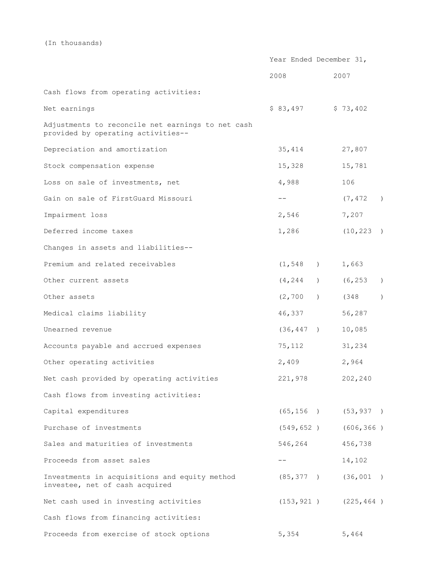(In thousands)

|                                                                                         | Year Ended December 31, |                     |           |  |                           |               |
|-----------------------------------------------------------------------------------------|-------------------------|---------------------|-----------|--|---------------------------|---------------|
|                                                                                         | 2008                    |                     |           |  | 2007                      |               |
| Cash flows from operating activities:                                                   |                         |                     |           |  |                           |               |
| Net earnings                                                                            |                         | $$83,497$ $$73,402$ |           |  |                           |               |
| Adjustments to reconcile net earnings to net cash<br>provided by operating activities-- |                         |                     |           |  |                           |               |
| Depreciation and amortization                                                           |                         | 35,414              |           |  | 27,807                    |               |
| Stock compensation expense                                                              |                         | 15,328              |           |  | 15,781                    |               |
| Loss on sale of investments, net                                                        |                         | 4,988               |           |  | 106                       |               |
| Gain on sale of FirstGuard Missouri                                                     |                         | $\qquad \qquad -$   |           |  | (7, 472)                  | $\rightarrow$ |
| Impairment loss                                                                         |                         | 2,546               |           |  | 7,207                     |               |
| Deferred income taxes                                                                   |                         | 1,286               |           |  | (10, 223)                 |               |
| Changes in assets and liabilities--                                                     |                         |                     |           |  |                           |               |
| Premium and related receivables                                                         |                         | (1, 548)            |           |  | 1,663                     |               |
| Other current assets                                                                    |                         | (4, 244)            | $\lambda$ |  | (6, 253)                  | $\lambda$     |
| Other assets                                                                            |                         | (2, 700)            | $\lambda$ |  | (348                      | $\lambda$     |
| Medical claims liability                                                                |                         | 46,337              |           |  | 56,287                    |               |
| Unearned revenue                                                                        |                         | (36, 447)           |           |  | 10,085                    |               |
| Accounts payable and accrued expenses                                                   |                         | 75,112              |           |  | 31,234                    |               |
| Other operating activities                                                              |                         | 2,409               |           |  | 2,964                     |               |
| Net cash provided by operating activities                                               |                         | 221,978             |           |  | 202,240                   |               |
| Cash flows from investing activities:                                                   |                         |                     |           |  |                           |               |
| Capital expenditures                                                                    |                         |                     |           |  | $(65, 156)$ $(53, 937)$   |               |
| Purchase of investments                                                                 |                         |                     |           |  | $(549, 652)$ $(606, 366)$ |               |
| Sales and maturities of investments                                                     |                         | 546,264 456,738     |           |  |                           |               |
| Proceeds from asset sales                                                               |                         | $- -$               |           |  | 14,102                    |               |
| Investments in acquisitions and equity method<br>investee, net of cash acquired         |                         |                     |           |  | $(85, 377)$ $(36, 001)$   |               |
| Net cash used in investing activities                                                   |                         |                     |           |  | $(153, 921)$ $(225, 464)$ |               |
| Cash flows from financing activities:                                                   |                         |                     |           |  |                           |               |
| Proceeds from exercise of stock options                                                 |                         | 5,354               |           |  | 5,464                     |               |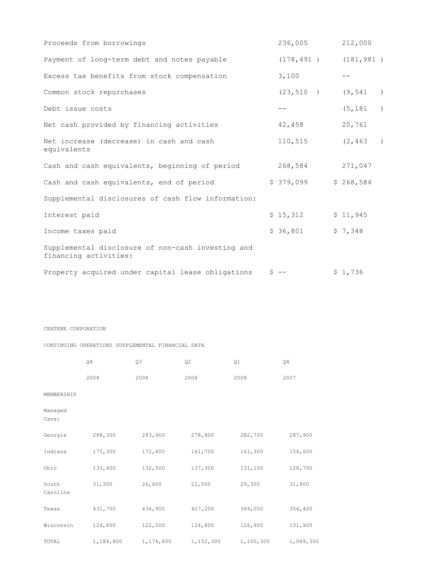| Proceeds from borrowings                                                   | 236,005                   | 212,000   |               |
|----------------------------------------------------------------------------|---------------------------|-----------|---------------|
| Payment of long-term debt and notes payable                                | $(178, 491)$ $(181, 981)$ |           |               |
| Excess tax benefits from stock compensation                                | 3,100                     |           |               |
| Common stock repurchases                                                   | $(23, 510)$ $(9, 541)$    |           | $\rightarrow$ |
| Debt issue costs                                                           | $- -$                     | (5, 181)  | $\rightarrow$ |
| Net cash provided by financing activities                                  | 42,458                    | 20,761    |               |
| Net increase (decrease) in cash and cash<br>equivalents                    | 110,515                   | (2, 463)  | $\rightarrow$ |
| Cash and cash equivalents, beginning of period                             | 268,584                   | 271,047   |               |
| Cash and cash equivalents, end of period                                   | \$379,099                 | \$268,584 |               |
| Supplemental disclosures of cash flow information:                         |                           |           |               |
| Interest paid                                                              | \$15,312                  | \$11,945  |               |
| Income taxes paid                                                          | \$36,801                  | \$7,348   |               |
| Supplemental disclosure of non-cash investing and<br>financing activities: |                           |           |               |
| Property acquired under capital lease obligations                          | $S$ $-$                   | \$1,736   |               |

#### CENTENE CORPORATION

#### CONTINUING OPERATIONS SUPPLEMENTAL FINANCIAL DATA

|                   | Q4        | Q3<br>Q2  |           | Q1        | Q4        |
|-------------------|-----------|-----------|-----------|-----------|-----------|
|                   | 2008      | 2008      | 2008      | 2008      | 2007      |
| MEMBERSHIP        |           |           |           |           |           |
| Managed<br>Care:  |           |           |           |           |           |
| Georgia           | 288,300   | 283,900   | 278,800   | 282,700   | 287,900   |
| Indiana           | 175,300   | 172,400   | 161,700   | 161,300   | 154,600   |
| Ohio              | 133,400   | 132,500   | 137,300   | 131,100   | 128,700   |
| South<br>Carolina | 31,300    | 26,600    | 22,500    | 29,300    | 31,800    |
| Texas             | 431,700   | 436,900   | 427,200   | 369,000   | 354,400   |
| Wisconsin         | 124,800   | 122,500   | 124,800   | 126,900   | 131,900   |
| TOTAL             | 1,184,800 | 1,174,800 | 1,152,300 | 1,100,300 | 1,089,300 |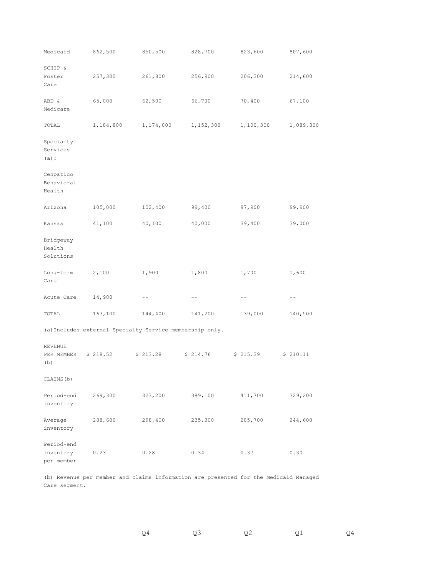| Medicaid                              | 862,500                                                  | 850,500   | 828,700   | 823,600   | 807,600   |
|---------------------------------------|----------------------------------------------------------|-----------|-----------|-----------|-----------|
| SCHIP &<br>Foster<br>Care             | 257,300                                                  | 261,800   | 256,900   | 206,300   | 214,600   |
| ABD &<br>Medicare                     | 65,000                                                   | 62,500    | 66,700    | 70,400    | 67,100    |
| TOTAL                                 | 1,184,800                                                | 1,174,800 | 1,152,300 | 1,100,300 | 1,089,300 |
| Specialty<br>Services<br>$(a)$ :      |                                                          |           |           |           |           |
| Cenpatico<br>Behavioral<br>Health     |                                                          |           |           |           |           |
| Arizona                               | 105,000                                                  | 102,400   | 99,400    | 97,900    | 99,900    |
| Kansas                                | 41,100                                                   | 40,100    | 40,000    | 39,400    | 39,000    |
| Bridgeway<br>Health<br>Solutions      |                                                          |           |           |           |           |
| Long-term<br>Care                     | 2,100                                                    | 1,900     | 1,800     | 1,700     | 1,600     |
| Acute Care                            | 14,900                                                   |           | $- -$     | $- -$     |           |
| TOTAL                                 | 163,100                                                  | 144,400   | 141,200   | 139,000   | 140,500   |
|                                       | (a) Includes external Specialty Service membership only. |           |           |           |           |
| REVENUE<br>PER MEMBER<br>(b)          | \$218.52                                                 | \$213.28  | \$214.76  | \$215.39  | \$210.11  |
| CLAIMS (b)                            |                                                          |           |           |           |           |
| Period-end<br>inventory               | 269,300                                                  | 323,200   | 389,100   | 411,700   | 329,200   |
| Average<br>inventory                  | 288,600                                                  | 298,400   | 235,300   | 285,700   | 244,600   |
| Period-end<br>inventory<br>per member | 0.23                                                     | 0.28      | 0.34      | 0.37      | 0.30      |

(b) Revenue per member and claims information are presented for the Medicaid Managed Care segment.

Q4 Q3 Q2 Q1 Q4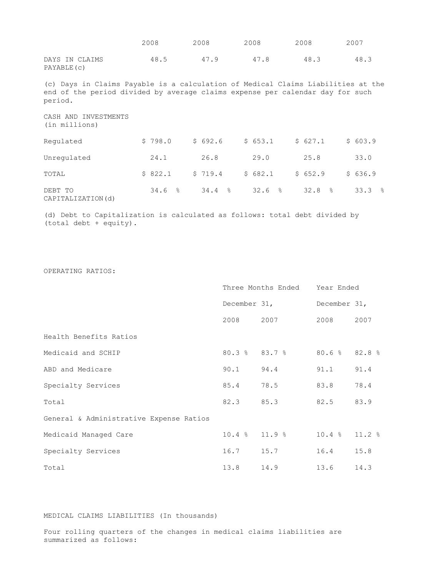|                                                                                                                                                                              | 2008    | 2008    | 2008    | 2008              | 2007    |
|------------------------------------------------------------------------------------------------------------------------------------------------------------------------------|---------|---------|---------|-------------------|---------|
| DAYS IN CLAIMS<br>PAYABLE (c)                                                                                                                                                | 48.5    | 47.9    | 47.8    | 48.3              | 48.3    |
| (c) Days in Claims Payable is a calculation of Medical Claims Liabilities at the<br>end of the period divided by average claims expense per calendar day for such<br>period. |         |         |         |                   |         |
| CASH AND INVESTMENTS<br>(in millions)                                                                                                                                        |         |         |         |                   |         |
| Requlated                                                                                                                                                                    | \$798.0 | \$692.6 | \$653.1 | \$627.1           | \$603.9 |
| Unregulated                                                                                                                                                                  | 24.1    | 26.8    | 29.0    | 25.8              | 33.0    |
| TOTAL                                                                                                                                                                        | \$822.1 | \$719.4 | \$682.1 | \$652.9           | \$636.9 |
| DEBT TO<br>CAPITALIZATION(d)                                                                                                                                                 | 34.6%   | 34.4%   | 32.6%   | $\approx$<br>32.8 | 33.3%   |

(d) Debt to Capitalization is calculated as follows: total debt divided by (total debt + equity).

|                                         |                   | Three Months Ended    | Year Ended        |      |  |  |
|-----------------------------------------|-------------------|-----------------------|-------------------|------|--|--|
|                                         |                   | December 31,          | December 31,      |      |  |  |
|                                         | 2008              | 2007                  | 2008              | 2007 |  |  |
| Health Benefits Ratios                  |                   |                       |                   |      |  |  |
| Medicaid and SCHIP                      |                   | $80.3$ $8$ $83.7$ $8$ | $80.6 %$ $82.8 %$ |      |  |  |
| ABD and Medicare                        | 90.1              | 94.4                  | 91.1              | 91.4 |  |  |
| Specialty Services                      | 85.4              | 78.5                  | 83.8              | 78.4 |  |  |
| Total                                   | 82.3              | 85.3                  | 82.5              | 83.9 |  |  |
| General & Administrative Expense Ratios |                   |                       |                   |      |  |  |
| Medicaid Managed Care                   | $10.4$ % $11.9$ % |                       | $10.4 %$ 11.2 %   |      |  |  |
| Specialty Services                      | 16.7              | 15.7                  | 16.4              | 15.8 |  |  |
| Total                                   | 13.8              | 14.9                  | 13.6              | 14.3 |  |  |

MEDICAL CLAIMS LIABILITIES (In thousands)

Four rolling quarters of the changes in medical claims liabilities are summarized as follows: